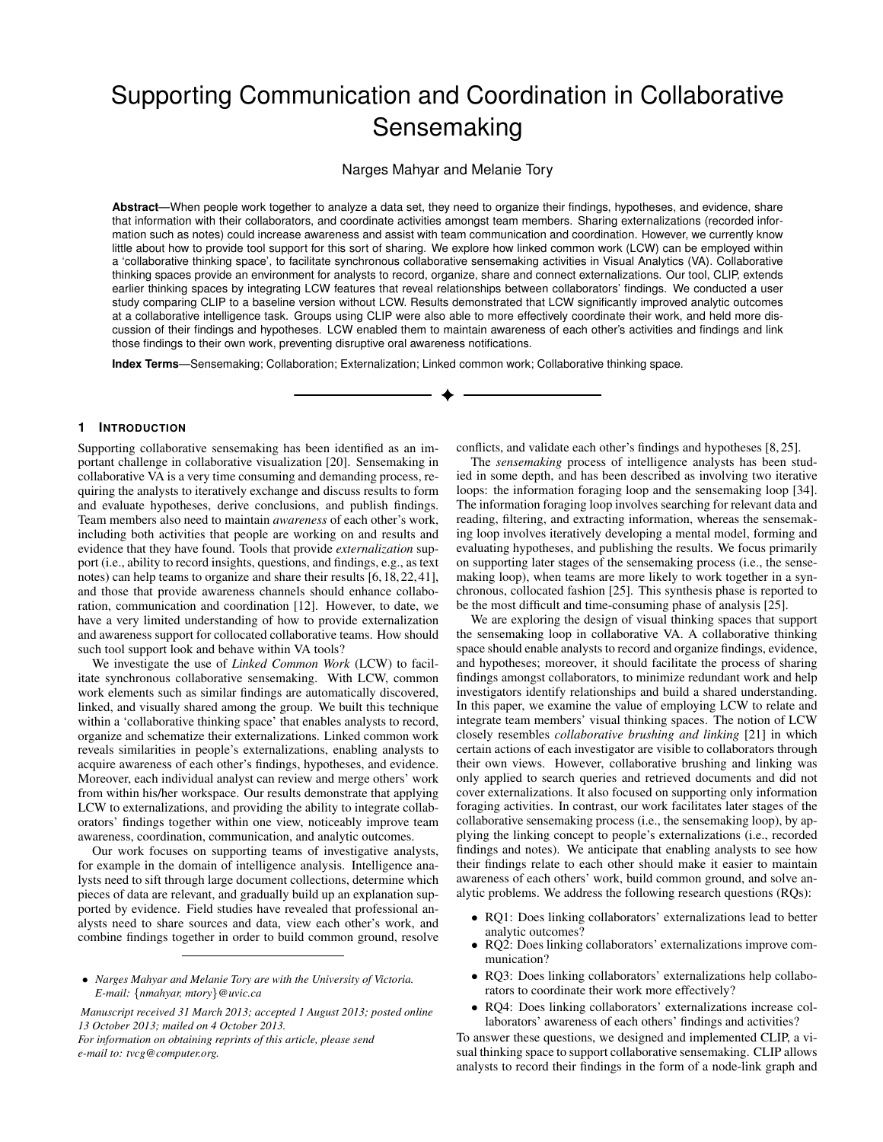# Supporting Communication and Coordination in Collaborative Sensemaking

Narges Mahyar and Melanie Tory

**Abstract**—When people work together to analyze a data set, they need to organize their findings, hypotheses, and evidence, share that information with their collaborators, and coordinate activities amongst team members. Sharing externalizations (recorded information such as notes) could increase awareness and assist with team communication and coordination. However, we currently know little about how to provide tool support for this sort of sharing. We explore how linked common work (LCW) can be employed within a 'collaborative thinking space', to facilitate synchronous collaborative sensemaking activities in Visual Analytics (VA). Collaborative thinking spaces provide an environment for analysts to record, organize, share and connect externalizations. Our tool, CLIP, extends earlier thinking spaces by integrating LCW features that reveal relationships between collaborators' findings. We conducted a user study comparing CLIP to a baseline version without LCW. Results demonstrated that LCW significantly improved analytic outcomes at a collaborative intelligence task. Groups using CLIP were also able to more effectively coordinate their work, and held more discussion of their findings and hypotheses. LCW enabled them to maintain awareness of each other's activities and findings and link those findings to their own work, preventing disruptive oral awareness notifications.

**Index Terms**—Sensemaking; Collaboration; Externalization; Linked common work; Collaborative thinking space.

## **1 INTRODUCTION**

Supporting collaborative sensemaking has been identified as an important challenge in collaborative visualization [\[20\]](#page-9-0). Sensemaking in collaborative VA is a very time consuming and demanding process, requiring the analysts to iteratively exchange and discuss results to form and evaluate hypotheses, derive conclusions, and publish findings. Team members also need to maintain *awareness* of each other's work, including both activities that people are working on and results and evidence that they have found. Tools that provide *externalization* support (i.e., ability to record insights, questions, and findings, e.g., as text notes) can help teams to organize and share their results [\[6,](#page-9-1) [18,](#page-9-2) [22,](#page-9-3) [41\]](#page-9-4), and those that provide awareness channels should enhance collaboration, communication and coordination [\[12\]](#page-9-5). However, to date, we have a very limited understanding of how to provide externalization and awareness support for collocated collaborative teams. How should such tool support look and behave within VA tools?

We investigate the use of *Linked Common Work* (LCW) to facilitate synchronous collaborative sensemaking. With LCW, common work elements such as similar findings are automatically discovered, linked, and visually shared among the group. We built this technique within a 'collaborative thinking space' that enables analysts to record, organize and schematize their externalizations. Linked common work reveals similarities in people's externalizations, enabling analysts to acquire awareness of each other's findings, hypotheses, and evidence. Moreover, each individual analyst can review and merge others' work from within his/her workspace. Our results demonstrate that applying LCW to externalizations, and providing the ability to integrate collaborators' findings together within one view, noticeably improve team awareness, coordination, communication, and analytic outcomes.

Our work focuses on supporting teams of investigative analysts, for example in the domain of intelligence analysis. Intelligence analysts need to sift through large document collections, determine which pieces of data are relevant, and gradually build up an explanation supported by evidence. Field studies have revealed that professional analysts need to share sources and data, view each other's work, and combine findings together in order to build common ground, resolve

• *Narges Mahyar and Melanie Tory are with the University of Victoria. E-mail:* {*nmahyar, mtory*}*@uvic.ca*

*Manuscript received 31 March 2013; accepted 1 August 2013; posted online 13 October 2013; mailed on 4 October 2013.*

*For information on obtaining reprints of this article, please send e-mail to: tvcg@computer.org.*

conflicts, and validate each other's findings and hypotheses [\[8,](#page-9-6) [25\]](#page-9-7).

The *sensemaking* process of intelligence analysts has been studied in some depth, and has been described as involving two iterative loops: the information foraging loop and the sensemaking loop [\[34\]](#page-9-8). The information foraging loop involves searching for relevant data and reading, filtering, and extracting information, whereas the sensemaking loop involves iteratively developing a mental model, forming and evaluating hypotheses, and publishing the results. We focus primarily on supporting later stages of the sensemaking process (i.e., the sensemaking loop), when teams are more likely to work together in a synchronous, collocated fashion [\[25\]](#page-9-7). This synthesis phase is reported to be the most difficult and time-consuming phase of analysis [\[25\]](#page-9-7).

We are exploring the design of visual thinking spaces that support the sensemaking loop in collaborative VA. A collaborative thinking space should enable analysts to record and organize findings, evidence, and hypotheses; moreover, it should facilitate the process of sharing findings amongst collaborators, to minimize redundant work and help investigators identify relationships and build a shared understanding. In this paper, we examine the value of employing LCW to relate and integrate team members' visual thinking spaces. The notion of LCW closely resembles *collaborative brushing and linking* [\[21\]](#page-9-9) in which certain actions of each investigator are visible to collaborators through their own views. However, collaborative brushing and linking was only applied to search queries and retrieved documents and did not cover externalizations. It also focused on supporting only information foraging activities. In contrast, our work facilitates later stages of the collaborative sensemaking process (i.e., the sensemaking loop), by applying the linking concept to people's externalizations (i.e., recorded findings and notes). We anticipate that enabling analysts to see how their findings relate to each other should make it easier to maintain awareness of each others' work, build common ground, and solve analytic problems. We address the following research questions (RQs):

- RQ1: Does linking collaborators' externalizations lead to better analytic outcomes?
- RQ2: Does linking collaborators' externalizations improve communication?
- RQ3: Does linking collaborators' externalizations help collaborators to coordinate their work more effectively?
- RQ4: Does linking collaborators' externalizations increase collaborators' awareness of each others' findings and activities?

To answer these questions, we designed and implemented CLIP, a visual thinking space to support collaborative sensemaking. CLIP allows analysts to record their findings in the form of a node-link graph and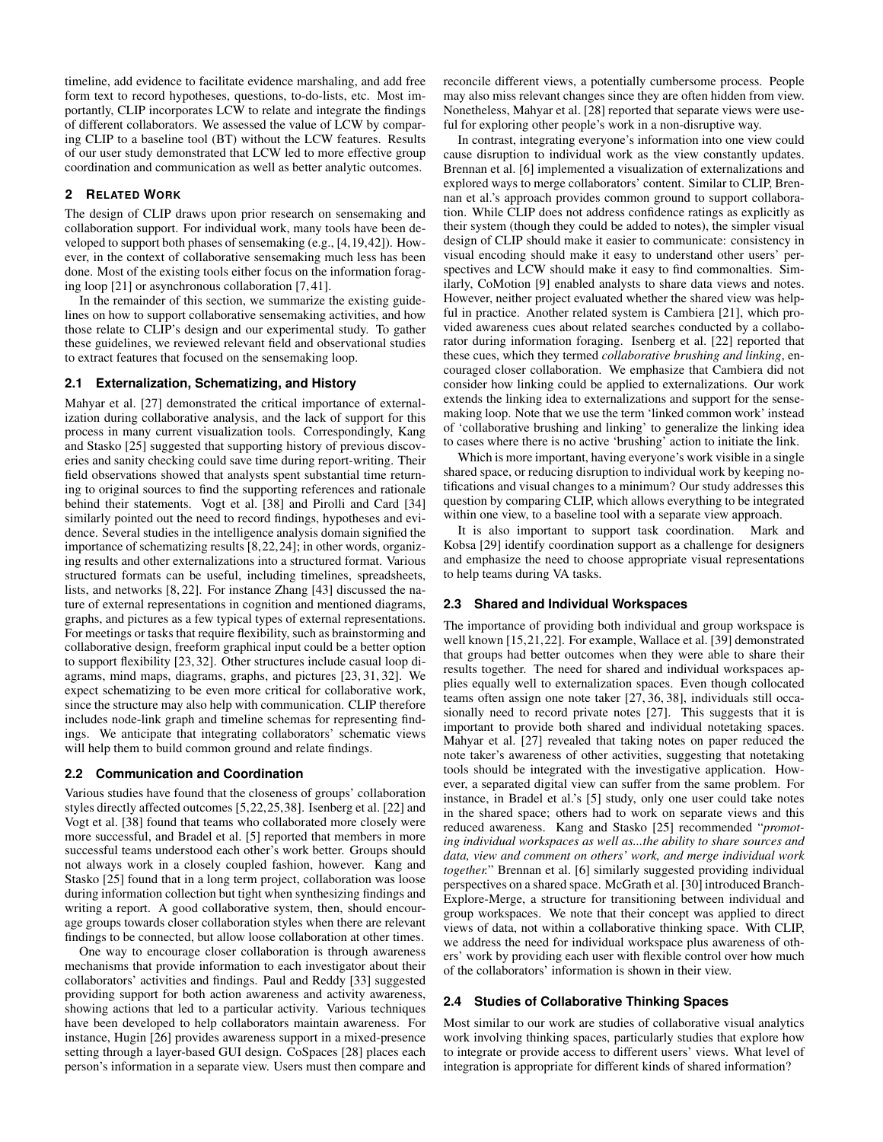timeline, add evidence to facilitate evidence marshaling, and add free form text to record hypotheses, questions, to-do-lists, etc. Most importantly, CLIP incorporates LCW to relate and integrate the findings of different collaborators. We assessed the value of LCW by comparing CLIP to a baseline tool (BT) without the LCW features. Results of our user study demonstrated that LCW led to more effective group coordination and communication as well as better analytic outcomes.

## **2 RELATED WORK**

The design of CLIP draws upon prior research on sensemaking and collaboration support. For individual work, many tools have been developed to support both phases of sensemaking (e.g., [\[4,](#page-9-10)[19,](#page-9-11)[42\]](#page-9-12)). However, in the context of collaborative sensemaking much less has been done. Most of the existing tools either focus on the information foraging loop [\[21\]](#page-9-9) or asynchronous collaboration [\[7,](#page-9-13) [41\]](#page-9-4).

In the remainder of this section, we summarize the existing guidelines on how to support collaborative sensemaking activities, and how those relate to CLIP's design and our experimental study. To gather these guidelines, we reviewed relevant field and observational studies to extract features that focused on the sensemaking loop.

## **2.1 Externalization, Schematizing, and History**

Mahyar et al. [\[27\]](#page-9-14) demonstrated the critical importance of externalization during collaborative analysis, and the lack of support for this process in many current visualization tools. Correspondingly, Kang and Stasko [\[25\]](#page-9-7) suggested that supporting history of previous discoveries and sanity checking could save time during report-writing. Their field observations showed that analysts spent substantial time returning to original sources to find the supporting references and rationale behind their statements. Vogt et al. [\[38\]](#page-9-15) and Pirolli and Card [\[34\]](#page-9-8) similarly pointed out the need to record findings, hypotheses and evidence. Several studies in the intelligence analysis domain signified the importance of schematizing results [\[8,](#page-9-6)[22,](#page-9-3)[24\]](#page-9-16); in other words, organizing results and other externalizations into a structured format. Various structured formats can be useful, including timelines, spreadsheets, lists, and networks [\[8,](#page-9-6) [22\]](#page-9-3). For instance Zhang [\[43\]](#page-9-17) discussed the nature of external representations in cognition and mentioned diagrams, graphs, and pictures as a few typical types of external representations. For meetings or tasks that require flexibility, such as brainstorming and collaborative design, freeform graphical input could be a better option to support flexibility [\[23,](#page-9-18) [32\]](#page-9-19). Other structures include casual loop diagrams, mind maps, diagrams, graphs, and pictures [\[23,](#page-9-18) [31,](#page-9-20) [32\]](#page-9-19). We expect schematizing to be even more critical for collaborative work, since the structure may also help with communication. CLIP therefore includes node-link graph and timeline schemas for representing findings. We anticipate that integrating collaborators' schematic views will help them to build common ground and relate findings.

## **2.2 Communication and Coordination**

Various studies have found that the closeness of groups' collaboration styles directly affected outcomes [\[5,](#page-9-21)[22,](#page-9-3)[25](#page-9-7)[,38\]](#page-9-15). Isenberg et al. [\[22\]](#page-9-3) and Vogt et al. [\[38\]](#page-9-15) found that teams who collaborated more closely were more successful, and Bradel et al. [\[5\]](#page-9-21) reported that members in more successful teams understood each other's work better. Groups should not always work in a closely coupled fashion, however. Kang and Stasko [\[25\]](#page-9-7) found that in a long term project, collaboration was loose during information collection but tight when synthesizing findings and writing a report. A good collaborative system, then, should encourage groups towards closer collaboration styles when there are relevant findings to be connected, but allow loose collaboration at other times.

One way to encourage closer collaboration is through awareness mechanisms that provide information to each investigator about their collaborators' activities and findings. Paul and Reddy [\[33\]](#page-9-22) suggested providing support for both action awareness and activity awareness, showing actions that led to a particular activity. Various techniques have been developed to help collaborators maintain awareness. For instance, Hugin [\[26\]](#page-9-23) provides awareness support in a mixed-presence setting through a layer-based GUI design. CoSpaces [\[28\]](#page-9-24) places each person's information in a separate view. Users must then compare and reconcile different views, a potentially cumbersome process. People may also miss relevant changes since they are often hidden from view. Nonetheless, Mahyar et al. [\[28\]](#page-9-24) reported that separate views were useful for exploring other people's work in a non-disruptive way.

In contrast, integrating everyone's information into one view could cause disruption to individual work as the view constantly updates. Brennan et al. [\[6\]](#page-9-1) implemented a visualization of externalizations and explored ways to merge collaborators' content. Similar to CLIP, Brennan et al.'s approach provides common ground to support collaboration. While CLIP does not address confidence ratings as explicitly as their system (though they could be added to notes), the simpler visual design of CLIP should make it easier to communicate: consistency in visual encoding should make it easy to understand other users' perspectives and LCW should make it easy to find commonalties. Similarly, CoMotion [\[9\]](#page-9-25) enabled analysts to share data views and notes. However, neither project evaluated whether the shared view was helpful in practice. Another related system is Cambiera [\[21\]](#page-9-9), which provided awareness cues about related searches conducted by a collaborator during information foraging. Isenberg et al. [\[22\]](#page-9-3) reported that these cues, which they termed *collaborative brushing and linking*, encouraged closer collaboration. We emphasize that Cambiera did not consider how linking could be applied to externalizations. Our work extends the linking idea to externalizations and support for the sensemaking loop. Note that we use the term 'linked common work' instead of 'collaborative brushing and linking' to generalize the linking idea to cases where there is no active 'brushing' action to initiate the link.

Which is more important, having everyone's work visible in a single shared space, or reducing disruption to individual work by keeping notifications and visual changes to a minimum? Our study addresses this question by comparing CLIP, which allows everything to be integrated within one view, to a baseline tool with a separate view approach.

It is also important to support task coordination. Mark and Kobsa [\[29\]](#page-9-26) identify coordination support as a challenge for designers and emphasize the need to choose appropriate visual representations to help teams during VA tasks.

## **2.3 Shared and Individual Workspaces**

The importance of providing both individual and group workspace is well known [\[15,](#page-9-27)[21,](#page-9-9)[22\]](#page-9-3). For example, Wallace et al. [\[39\]](#page-9-28) demonstrated that groups had better outcomes when they were able to share their results together. The need for shared and individual workspaces applies equally well to externalization spaces. Even though collocated teams often assign one note taker [\[27,](#page-9-14) [36,](#page-9-29) [38\]](#page-9-15), individuals still occasionally need to record private notes [\[27\]](#page-9-14). This suggests that it is important to provide both shared and individual notetaking spaces. Mahyar et al. [\[27\]](#page-9-14) revealed that taking notes on paper reduced the note taker's awareness of other activities, suggesting that notetaking tools should be integrated with the investigative application. However, a separated digital view can suffer from the same problem. For instance, in Bradel et al.'s [\[5\]](#page-9-21) study, only one user could take notes in the shared space; others had to work on separate views and this reduced awareness. Kang and Stasko [\[25\]](#page-9-7) recommended "*promoting individual workspaces as well as...the ability to share sources and data, view and comment on others' work, and merge individual work together.*" Brennan et al. [\[6\]](#page-9-1) similarly suggested providing individual perspectives on a shared space. McGrath et al. [\[30\]](#page-9-30) introduced Branch-Explore-Merge, a structure for transitioning between individual and group workspaces. We note that their concept was applied to direct views of data, not within a collaborative thinking space. With CLIP, we address the need for individual workspace plus awareness of others' work by providing each user with flexible control over how much of the collaborators' information is shown in their view.

## **2.4 Studies of Collaborative Thinking Spaces**

Most similar to our work are studies of collaborative visual analytics work involving thinking spaces, particularly studies that explore how to integrate or provide access to different users' views. What level of integration is appropriate for different kinds of shared information?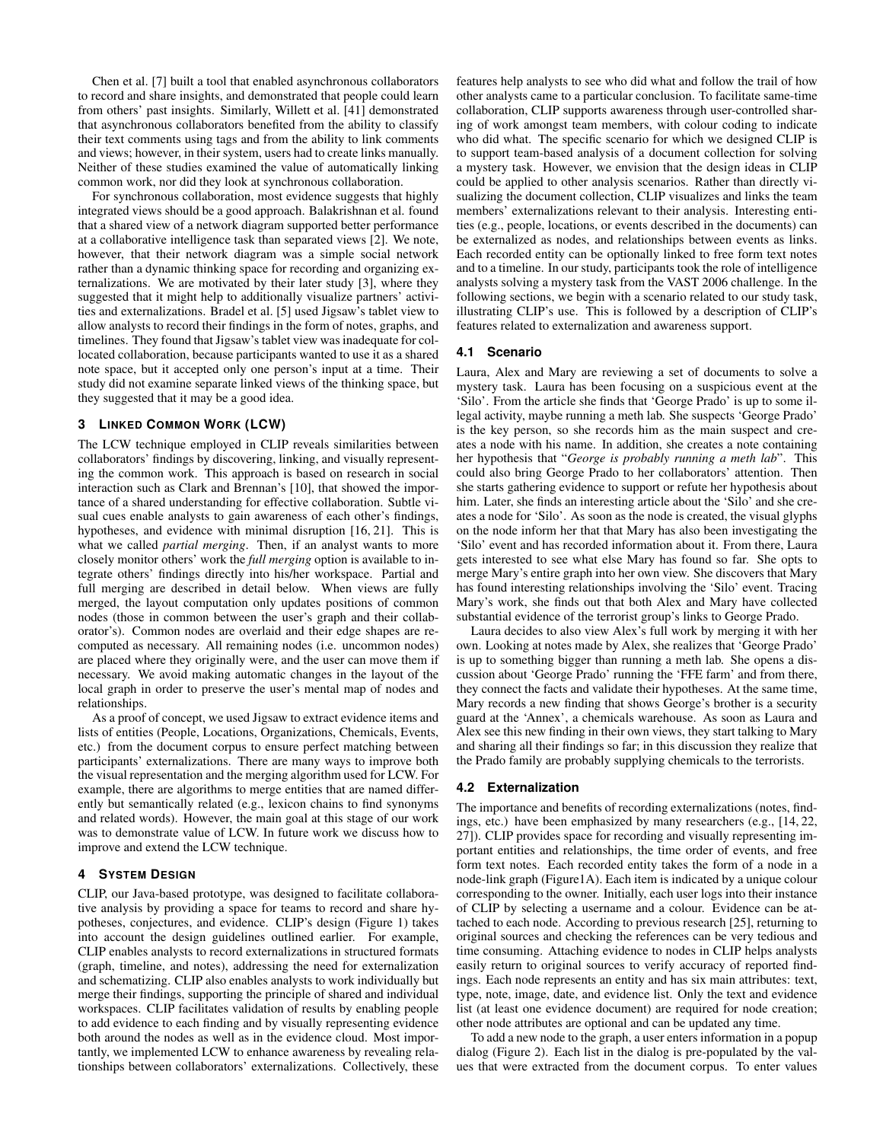Chen et al. [\[7\]](#page-9-13) built a tool that enabled asynchronous collaborators to record and share insights, and demonstrated that people could learn from others' past insights. Similarly, Willett et al. [\[41\]](#page-9-4) demonstrated that asynchronous collaborators benefited from the ability to classify their text comments using tags and from the ability to link comments and views; however, in their system, users had to create links manually. Neither of these studies examined the value of automatically linking common work, nor did they look at synchronous collaboration.

For synchronous collaboration, most evidence suggests that highly integrated views should be a good approach. Balakrishnan et al. found that a shared view of a network diagram supported better performance at a collaborative intelligence task than separated views [\[2\]](#page-9-31). We note, however, that their network diagram was a simple social network rather than a dynamic thinking space for recording and organizing externalizations. We are motivated by their later study [\[3\]](#page-9-32), where they suggested that it might help to additionally visualize partners' activities and externalizations. Bradel et al. [\[5\]](#page-9-21) used Jigsaw's tablet view to allow analysts to record their findings in the form of notes, graphs, and timelines. They found that Jigsaw's tablet view was inadequate for collocated collaboration, because participants wanted to use it as a shared note space, but it accepted only one person's input at a time. Their study did not examine separate linked views of the thinking space, but they suggested that it may be a good idea.

## **3 LINKED COMMON WORK (LCW)**

The LCW technique employed in CLIP reveals similarities between collaborators' findings by discovering, linking, and visually representing the common work. This approach is based on research in social interaction such as Clark and Brennan's [\[10\]](#page-9-33), that showed the importance of a shared understanding for effective collaboration. Subtle visual cues enable analysts to gain awareness of each other's findings, hypotheses, and evidence with minimal disruption [\[16,](#page-9-34) [21\]](#page-9-9). This is what we called *partial merging*. Then, if an analyst wants to more closely monitor others' work the *full merging* option is available to integrate others' findings directly into his/her workspace. Partial and full merging are described in detail below. When views are fully merged, the layout computation only updates positions of common nodes (those in common between the user's graph and their collaborator's). Common nodes are overlaid and their edge shapes are recomputed as necessary. All remaining nodes (i.e. uncommon nodes) are placed where they originally were, and the user can move them if necessary. We avoid making automatic changes in the layout of the local graph in order to preserve the user's mental map of nodes and relationships.

As a proof of concept, we used Jigsaw to extract evidence items and lists of entities (People, Locations, Organizations, Chemicals, Events, etc.) from the document corpus to ensure perfect matching between participants' externalizations. There are many ways to improve both the visual representation and the merging algorithm used for LCW. For example, there are algorithms to merge entities that are named differently but semantically related (e.g., lexicon chains to find synonyms and related words). However, the main goal at this stage of our work was to demonstrate value of LCW. In future work we discuss how to improve and extend the LCW technique.

#### **4 SYSTEM DESIGN**

CLIP, our Java-based prototype, was designed to facilitate collaborative analysis by providing a space for teams to record and share hypotheses, conjectures, and evidence. CLIP's design (Figure [1\)](#page-3-0) takes into account the design guidelines outlined earlier. For example, CLIP enables analysts to record externalizations in structured formats (graph, timeline, and notes), addressing the need for externalization and schematizing. CLIP also enables analysts to work individually but merge their findings, supporting the principle of shared and individual workspaces. CLIP facilitates validation of results by enabling people to add evidence to each finding and by visually representing evidence both around the nodes as well as in the evidence cloud. Most importantly, we implemented LCW to enhance awareness by revealing relationships between collaborators' externalizations. Collectively, these

features help analysts to see who did what and follow the trail of how other analysts came to a particular conclusion. To facilitate same-time collaboration, CLIP supports awareness through user-controlled sharing of work amongst team members, with colour coding to indicate who did what. The specific scenario for which we designed CLIP is to support team-based analysis of a document collection for solving a mystery task. However, we envision that the design ideas in CLIP could be applied to other analysis scenarios. Rather than directly visualizing the document collection, CLIP visualizes and links the team members' externalizations relevant to their analysis. Interesting entities (e.g., people, locations, or events described in the documents) can be externalized as nodes, and relationships between events as links. Each recorded entity can be optionally linked to free form text notes and to a timeline. In our study, participants took the role of intelligence analysts solving a mystery task from the VAST 2006 challenge. In the following sections, we begin with a scenario related to our study task, illustrating CLIP's use. This is followed by a description of CLIP's features related to externalization and awareness support.

#### **4.1 Scenario**

Laura, Alex and Mary are reviewing a set of documents to solve a mystery task. Laura has been focusing on a suspicious event at the 'Silo'. From the article she finds that 'George Prado' is up to some illegal activity, maybe running a meth lab. She suspects 'George Prado' is the key person, so she records him as the main suspect and creates a node with his name. In addition, she creates a note containing her hypothesis that "*George is probably running a meth lab*". This could also bring George Prado to her collaborators' attention. Then she starts gathering evidence to support or refute her hypothesis about him. Later, she finds an interesting article about the 'Silo' and she creates a node for 'Silo'. As soon as the node is created, the visual glyphs on the node inform her that that Mary has also been investigating the 'Silo' event and has recorded information about it. From there, Laura gets interested to see what else Mary has found so far. She opts to merge Mary's entire graph into her own view. She discovers that Mary has found interesting relationships involving the 'Silo' event. Tracing Mary's work, she finds out that both Alex and Mary have collected substantial evidence of the terrorist group's links to George Prado.

Laura decides to also view Alex's full work by merging it with her own. Looking at notes made by Alex, she realizes that 'George Prado' is up to something bigger than running a meth lab. She opens a discussion about 'George Prado' running the 'FFE farm' and from there, they connect the facts and validate their hypotheses. At the same time, Mary records a new finding that shows George's brother is a security guard at the 'Annex', a chemicals warehouse. As soon as Laura and Alex see this new finding in their own views, they start talking to Mary and sharing all their findings so far; in this discussion they realize that the Prado family are probably supplying chemicals to the terrorists.

#### **4.2 Externalization**

The importance and benefits of recording externalizations (notes, findings, etc.) have been emphasized by many researchers (e.g., [\[14,](#page-9-35) [22,](#page-9-3) [27\]](#page-9-14)). CLIP provides space for recording and visually representing important entities and relationships, the time order of events, and free form text notes. Each recorded entity takes the form of a node in a node-link graph (Figur[e1A](#page-3-0)). Each item is indicated by a unique colour corresponding to the owner. Initially, each user logs into their instance of CLIP by selecting a username and a colour. Evidence can be attached to each node. According to previous research [\[25\]](#page-9-7), returning to original sources and checking the references can be very tedious and time consuming. Attaching evidence to nodes in CLIP helps analysts easily return to original sources to verify accuracy of reported findings. Each node represents an entity and has six main attributes: text, type, note, image, date, and evidence list. Only the text and evidence list (at least one evidence document) are required for node creation; other node attributes are optional and can be updated any time.

To add a new node to the graph, a user enters information in a popup dialog (Figure [2\)](#page-3-1). Each list in the dialog is pre-populated by the values that were extracted from the document corpus. To enter values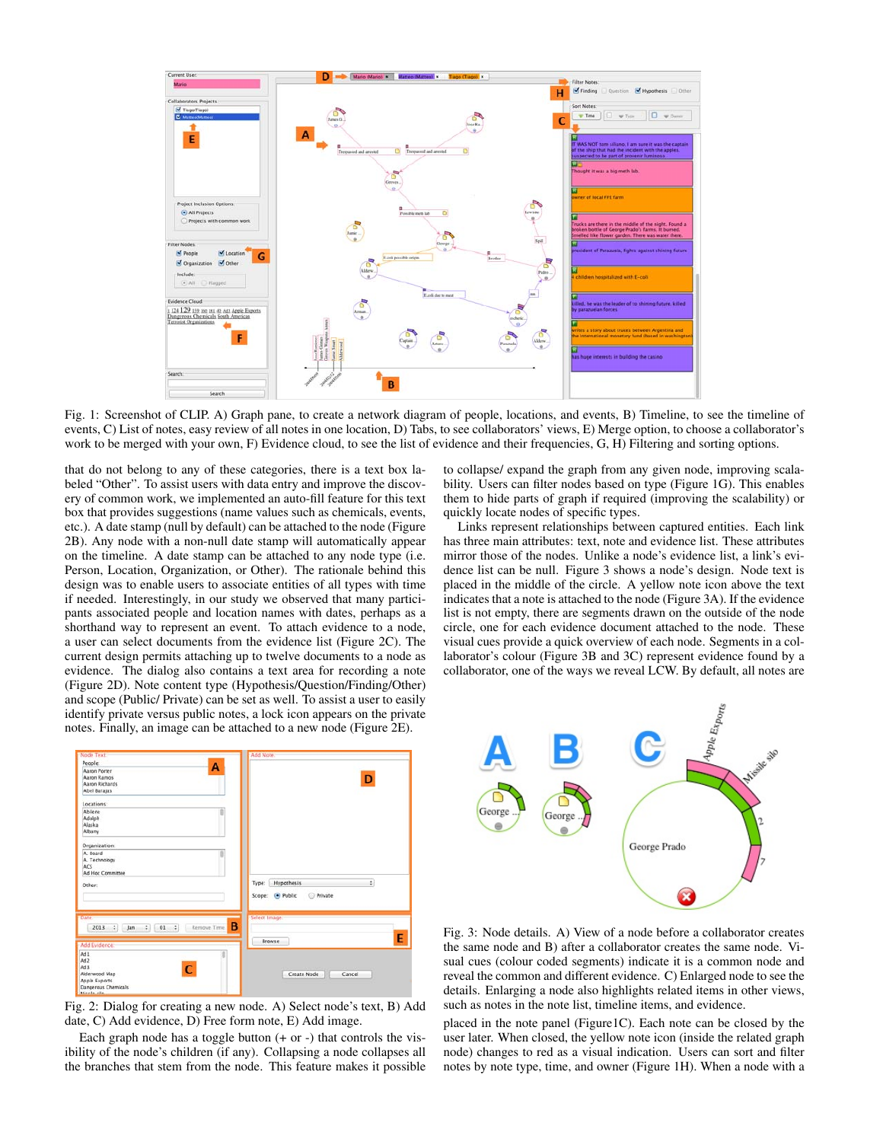<span id="page-3-0"></span>

Fig. 1: Screenshot of CLIP. A) Graph pane, to create a network diagram of people, locations, and events, B) Timeline, to see the timeline of events, C) List of notes, easy review of all notes in one location, D) Tabs, to see collaborators' views, E) Merge option, to choose a collaborator's work to be merged with your own, F) Evidence cloud, to see the list of evidence and their frequencies, G, H) Filtering and sorting options.

that do not belong to any of these categories, there is a text box labeled "Other". To assist users with data entry and improve the discovery of common work, we implemented an auto-fill feature for this text box that provides suggestions (name values such as chemicals, events, etc.). A date stamp (null by default) can be attached to the node (Figure [2B](#page-3-1)). Any node with a non-null date stamp will automatically appear on the timeline. A date stamp can be attached to any node type (i.e. Person, Location, Organization, or Other). The rationale behind this design was to enable users to associate entities of all types with time if needed. Interestingly, in our study we observed that many participants associated people and location names with dates, perhaps as a shorthand way to represent an event. To attach evidence to a node, a user can select documents from the evidence list (Figure [2C](#page-3-1)). The current design permits attaching up to twelve documents to a node as evidence. The dialog also contains a text area for recording a note (Figure [2D](#page-3-1)). Note content type (Hypothesis/Question/Finding/Other) and scope (Public/ Private) can be set as well. To assist a user to easily identify private versus public notes, a lock icon appears on the private notes. Finally, an image can be attached to a new node (Figure [2E](#page-3-1)).

<span id="page-3-1"></span>

Fig. 2: Dialog for creating a new node. A) Select node's text, B) Add date, C) Add evidence, D) Free form note, E) Add image.

Each graph node has a toggle button  $(+ or -)$  that controls the visibility of the node's children (if any). Collapsing a node collapses all the branches that stem from the node. This feature makes it possible

to collapse/ expand the graph from any given node, improving scalability. Users can filter nodes based on type (Figure [1G](#page-3-0)). This enables them to hide parts of graph if required (improving the scalability) or quickly locate nodes of specific types.

Links represent relationships between captured entities. Each link has three main attributes: text, note and evidence list. These attributes mirror those of the nodes. Unlike a node's evidence list, a link's evidence list can be null. Figure [3](#page-3-2) shows a node's design. Node text is placed in the middle of the circle. A yellow note icon above the text indicates that a note is attached to the node (Figure [3A](#page-3-2)). If the evidence list is not empty, there are segments drawn on the outside of the node circle, one for each evidence document attached to the node. These visual cues provide a quick overview of each node. Segments in a collaborator's colour (Figure [3B](#page-3-2) and [3C](#page-3-2)) represent evidence found by a collaborator, one of the ways we reveal LCW. By default, all notes are

<span id="page-3-2"></span>

Fig. 3: Node details. A) View of a node before a collaborator creates the same node and B) after a collaborator creates the same node. Visual cues (colour coded segments) indicate it is a common node and reveal the common and different evidence. C) Enlarged node to see the details. Enlarging a node also highlights related items in other views, such as notes in the note list, timeline items, and evidence.

placed in the note panel (Figur[e1C](#page-3-0)). Each note can be closed by the user later. When closed, the yellow note icon (inside the related graph node) changes to red as a visual indication. Users can sort and filter notes by note type, time, and owner (Figure [1H](#page-3-0)). When a node with a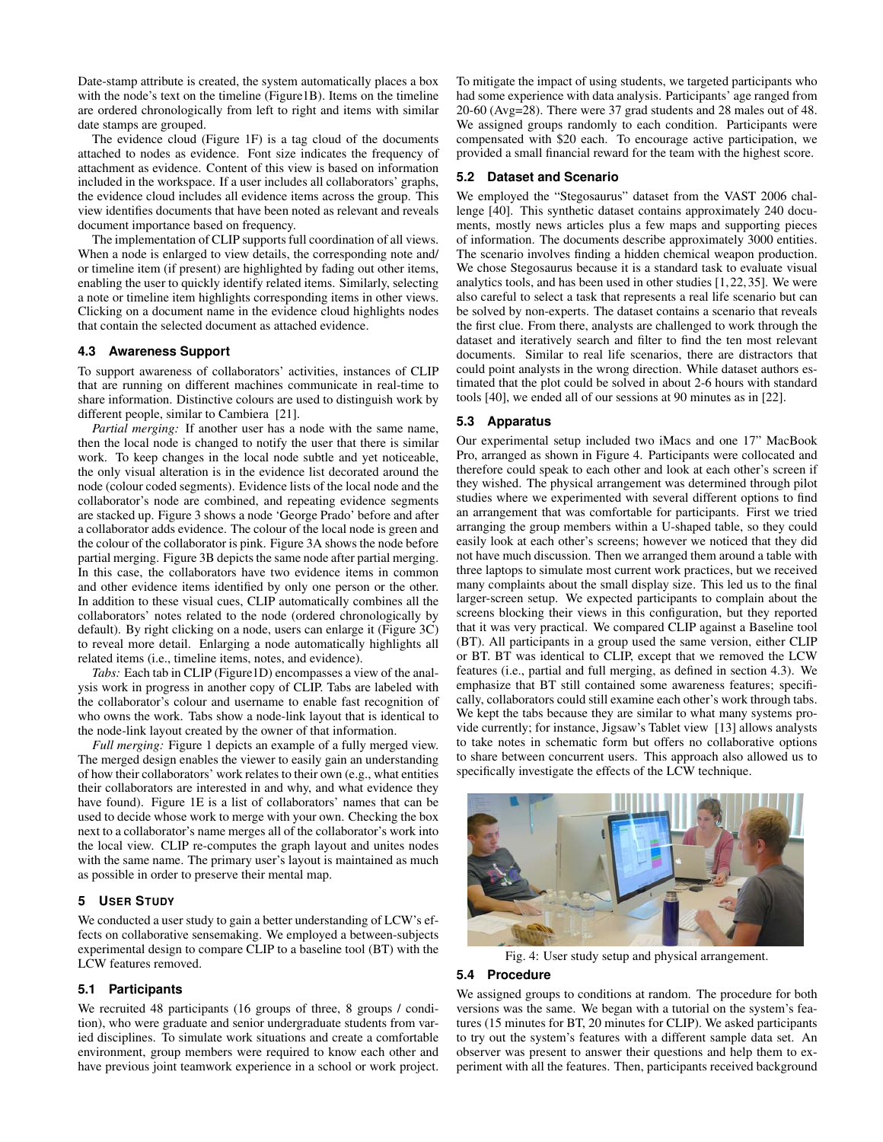Date-stamp attribute is created, the system automatically places a box with the node's text on the timeline (Figur[e1B](#page-3-0)). Items on the timeline are ordered chronologically from left to right and items with similar date stamps are grouped.

The evidence cloud (Figure [1F](#page-3-0)) is a tag cloud of the documents attached to nodes as evidence. Font size indicates the frequency of attachment as evidence. Content of this view is based on information included in the workspace. If a user includes all collaborators' graphs, the evidence cloud includes all evidence items across the group. This view identifies documents that have been noted as relevant and reveals document importance based on frequency.

The implementation of CLIP supports full coordination of all views. When a node is enlarged to view details, the corresponding note and/ or timeline item (if present) are highlighted by fading out other items, enabling the user to quickly identify related items. Similarly, selecting a note or timeline item highlights corresponding items in other views. Clicking on a document name in the evidence cloud highlights nodes that contain the selected document as attached evidence.

## <span id="page-4-1"></span>**4.3 Awareness Support**

To support awareness of collaborators' activities, instances of CLIP that are running on different machines communicate in real-time to share information. Distinctive colours are used to distinguish work by different people, similar to Cambiera [\[21\]](#page-9-9).

*Partial merging:* If another user has a node with the same name, then the local node is changed to notify the user that there is similar work. To keep changes in the local node subtle and yet noticeable, the only visual alteration is in the evidence list decorated around the node (colour coded segments). Evidence lists of the local node and the collaborator's node are combined, and repeating evidence segments are stacked up. Figure [3](#page-3-2) shows a node 'George Prado' before and after a collaborator adds evidence. The colour of the local node is green and the colour of the collaborator is pink. Figure [3A](#page-3-2) shows the node before partial merging. Figure [3B](#page-3-2) depicts the same node after partial merging. In this case, the collaborators have two evidence items in common and other evidence items identified by only one person or the other. In addition to these visual cues, CLIP automatically combines all the collaborators' notes related to the node (ordered chronologically by default). By right clicking on a node, users can enlarge it (Figure [3C](#page-3-2)) to reveal more detail. Enlarging a node automatically highlights all related items (i.e., timeline items, notes, and evidence).

*Tabs:* Each tab in CLIP (Figur[e1D](#page-3-0)) encompasses a view of the analysis work in progress in another copy of CLIP. Tabs are labeled with the collaborator's colour and username to enable fast recognition of who owns the work. Tabs show a node-link layout that is identical to the node-link layout created by the owner of that information.

*Full merging:* Figure [1](#page-3-0) depicts an example of a fully merged view. The merged design enables the viewer to easily gain an understanding of how their collaborators' work relates to their own (e.g., what entities their collaborators are interested in and why, and what evidence they have found). Figure [1E](#page-3-0) is a list of collaborators' names that can be used to decide whose work to merge with your own. Checking the box next to a collaborator's name merges all of the collaborator's work into the local view. CLIP re-computes the graph layout and unites nodes with the same name. The primary user's layout is maintained as much as possible in order to preserve their mental map.

#### **5 USER STUDY**

We conducted a user study to gain a better understanding of LCW's effects on collaborative sensemaking. We employed a between-subjects experimental design to compare CLIP to a baseline tool (BT) with the LCW features removed.

## **5.1 Participants**

We recruited 48 participants (16 groups of three, 8 groups / condition), who were graduate and senior undergraduate students from varied disciplines. To simulate work situations and create a comfortable environment, group members were required to know each other and have previous joint teamwork experience in a school or work project.

To mitigate the impact of using students, we targeted participants who had some experience with data analysis. Participants' age ranged from 20-60 (Avg=28). There were 37 grad students and 28 males out of 48. We assigned groups randomly to each condition. Participants were compensated with \$20 each. To encourage active participation, we provided a small financial reward for the team with the highest score.

### **5.2 Dataset and Scenario**

We employed the "Stegosaurus" dataset from the VAST 2006 challenge [\[40\]](#page-9-36). This synthetic dataset contains approximately 240 documents, mostly news articles plus a few maps and supporting pieces of information. The documents describe approximately 3000 entities. The scenario involves finding a hidden chemical weapon production. We chose Stegosaurus because it is a standard task to evaluate visual analytics tools, and has been used in other studies [\[1,](#page-9-37) [22,](#page-9-3) [35\]](#page-9-38). We were also careful to select a task that represents a real life scenario but can be solved by non-experts. The dataset contains a scenario that reveals the first clue. From there, analysts are challenged to work through the dataset and iteratively search and filter to find the ten most relevant documents. Similar to real life scenarios, there are distractors that could point analysts in the wrong direction. While dataset authors estimated that the plot could be solved in about 2-6 hours with standard tools [\[40\]](#page-9-36), we ended all of our sessions at 90 minutes as in [\[22\]](#page-9-3).

#### **5.3 Apparatus**

Our experimental setup included two iMacs and one 17" MacBook Pro, arranged as shown in Figure [4.](#page-4-0) Participants were collocated and therefore could speak to each other and look at each other's screen if they wished. The physical arrangement was determined through pilot studies where we experimented with several different options to find an arrangement that was comfortable for participants. First we tried arranging the group members within a U-shaped table, so they could easily look at each other's screens; however we noticed that they did not have much discussion. Then we arranged them around a table with three laptops to simulate most current work practices, but we received many complaints about the small display size. This led us to the final larger-screen setup. We expected participants to complain about the screens blocking their views in this configuration, but they reported that it was very practical. We compared CLIP against a Baseline tool (BT). All participants in a group used the same version, either CLIP or BT. BT was identical to CLIP, except that we removed the LCW features (i.e., partial and full merging, as defined in section [4.3\)](#page-4-1). We emphasize that BT still contained some awareness features; specifically, collaborators could still examine each other's work through tabs. We kept the tabs because they are similar to what many systems provide currently; for instance, Jigsaw's Tablet view [\[13\]](#page-9-39) allows analysts to take notes in schematic form but offers no collaborative options to share between concurrent users. This approach also allowed us to specifically investigate the effects of the LCW technique.

<span id="page-4-0"></span>

Fig. 4: User study setup and physical arrangement.

# **5.4 Procedure**

We assigned groups to conditions at random. The procedure for both versions was the same. We began with a tutorial on the system's features (15 minutes for BT, 20 minutes for CLIP). We asked participants to try out the system's features with a different sample data set. An observer was present to answer their questions and help them to experiment with all the features. Then, participants received background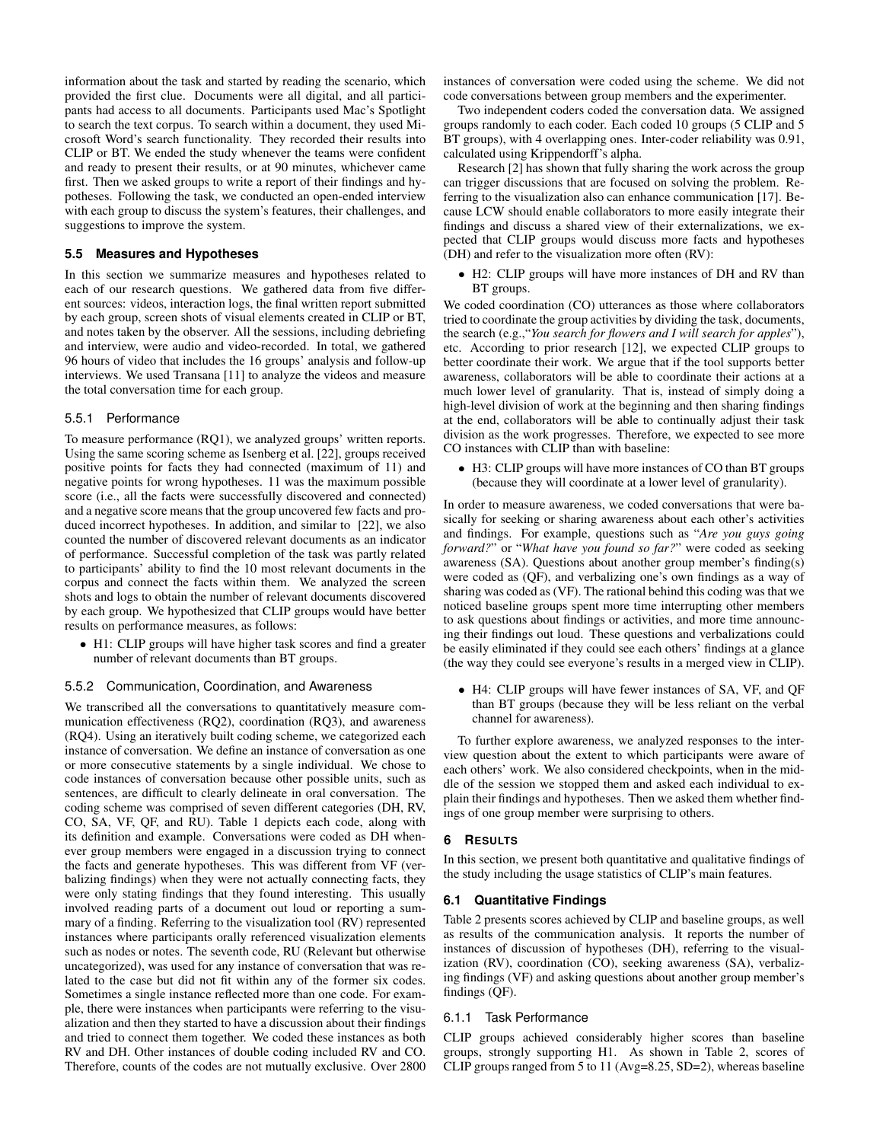information about the task and started by reading the scenario, which provided the first clue. Documents were all digital, and all participants had access to all documents. Participants used Mac's Spotlight to search the text corpus. To search within a document, they used Microsoft Word's search functionality. They recorded their results into CLIP or BT. We ended the study whenever the teams were confident and ready to present their results, or at 90 minutes, whichever came first. Then we asked groups to write a report of their findings and hypotheses. Following the task, we conducted an open-ended interview with each group to discuss the system's features, their challenges, and suggestions to improve the system.

### **5.5 Measures and Hypotheses**

In this section we summarize measures and hypotheses related to each of our research questions. We gathered data from five different sources: videos, interaction logs, the final written report submitted by each group, screen shots of visual elements created in CLIP or BT, and notes taken by the observer. All the sessions, including debriefing and interview, were audio and video-recorded. In total, we gathered 96 hours of video that includes the 16 groups' analysis and follow-up interviews. We used Transana [\[11\]](#page-9-40) to analyze the videos and measure the total conversation time for each group.

## 5.5.1 Performance

To measure performance (RQ1), we analyzed groups' written reports. Using the same scoring scheme as Isenberg et al. [\[22\]](#page-9-3), groups received positive points for facts they had connected (maximum of 11) and negative points for wrong hypotheses. 11 was the maximum possible score (i.e., all the facts were successfully discovered and connected) and a negative score means that the group uncovered few facts and produced incorrect hypotheses. In addition, and similar to [\[22\]](#page-9-3), we also counted the number of discovered relevant documents as an indicator of performance. Successful completion of the task was partly related to participants' ability to find the 10 most relevant documents in the corpus and connect the facts within them. We analyzed the screen shots and logs to obtain the number of relevant documents discovered by each group. We hypothesized that CLIP groups would have better results on performance measures, as follows:

• H1: CLIP groups will have higher task scores and find a greater number of relevant documents than BT groups.

#### 5.5.2 Communication, Coordination, and Awareness

We transcribed all the conversations to quantitatively measure communication effectiveness (RQ2), coordination (RQ3), and awareness (RQ4). Using an iteratively built coding scheme, we categorized each instance of conversation. We define an instance of conversation as one or more consecutive statements by a single individual. We chose to code instances of conversation because other possible units, such as sentences, are difficult to clearly delineate in oral conversation. The coding scheme was comprised of seven different categories (DH, RV, CO, SA, VF, QF, and RU). Table [1](#page-6-0) depicts each code, along with its definition and example. Conversations were coded as DH whenever group members were engaged in a discussion trying to connect the facts and generate hypotheses. This was different from VF (verbalizing findings) when they were not actually connecting facts, they were only stating findings that they found interesting. This usually involved reading parts of a document out loud or reporting a summary of a finding. Referring to the visualization tool (RV) represented instances where participants orally referenced visualization elements such as nodes or notes. The seventh code, RU (Relevant but otherwise uncategorized), was used for any instance of conversation that was related to the case but did not fit within any of the former six codes. Sometimes a single instance reflected more than one code. For example, there were instances when participants were referring to the visualization and then they started to have a discussion about their findings and tried to connect them together. We coded these instances as both RV and DH. Other instances of double coding included RV and CO. Therefore, counts of the codes are not mutually exclusive. Over 2800

instances of conversation were coded using the scheme. We did not code conversations between group members and the experimenter.

Two independent coders coded the conversation data. We assigned groups randomly to each coder. Each coded 10 groups (5 CLIP and 5 BT groups), with 4 overlapping ones. Inter-coder reliability was 0.91, calculated using Krippendorff's alpha.

Research [\[2\]](#page-9-31) has shown that fully sharing the work across the group can trigger discussions that are focused on solving the problem. Referring to the visualization also can enhance communication [\[17\]](#page-9-41). Because LCW should enable collaborators to more easily integrate their findings and discuss a shared view of their externalizations, we expected that CLIP groups would discuss more facts and hypotheses (DH) and refer to the visualization more often (RV):

• H2: CLIP groups will have more instances of DH and RV than BT groups.

We coded coordination (CO) utterances as those where collaborators tried to coordinate the group activities by dividing the task, documents, the search (e.g.,"*You search for flowers and I will search for apples*"), etc. According to prior research [\[12\]](#page-9-5), we expected CLIP groups to better coordinate their work. We argue that if the tool supports better awareness, collaborators will be able to coordinate their actions at a much lower level of granularity. That is, instead of simply doing a high-level division of work at the beginning and then sharing findings at the end, collaborators will be able to continually adjust their task division as the work progresses. Therefore, we expected to see more CO instances with CLIP than with baseline:

• H3: CLIP groups will have more instances of CO than BT groups (because they will coordinate at a lower level of granularity).

In order to measure awareness, we coded conversations that were basically for seeking or sharing awareness about each other's activities and findings. For example, questions such as "*Are you guys going forward?*" or "*What have you found so far?*" were coded as seeking awareness (SA). Questions about another group member's finding(s) were coded as (QF), and verbalizing one's own findings as a way of sharing was coded as (VF). The rational behind this coding was that we noticed baseline groups spent more time interrupting other members to ask questions about findings or activities, and more time announcing their findings out loud. These questions and verbalizations could be easily eliminated if they could see each others' findings at a glance (the way they could see everyone's results in a merged view in CLIP).

• H4: CLIP groups will have fewer instances of SA, VF, and QF than BT groups (because they will be less reliant on the verbal channel for awareness).

To further explore awareness, we analyzed responses to the interview question about the extent to which participants were aware of each others' work. We also considered checkpoints, when in the middle of the session we stopped them and asked each individual to explain their findings and hypotheses. Then we asked them whether findings of one group member were surprising to others.

#### **6 RESULTS**

In this section, we present both quantitative and qualitative findings of the study including the usage statistics of CLIP's main features.

#### **6.1 Quantitative Findings**

Table [2](#page-6-1) presents scores achieved by CLIP and baseline groups, as well as results of the communication analysis. It reports the number of instances of discussion of hypotheses (DH), referring to the visualization (RV), coordination (CO), seeking awareness (SA), verbalizing findings (VF) and asking questions about another group member's findings (QF).

## 6.1.1 Task Performance

CLIP groups achieved considerably higher scores than baseline groups, strongly supporting H1. As shown in Table [2,](#page-6-1) scores of CLIP groups ranged from 5 to 11 (Avg=8.25, SD=2), whereas baseline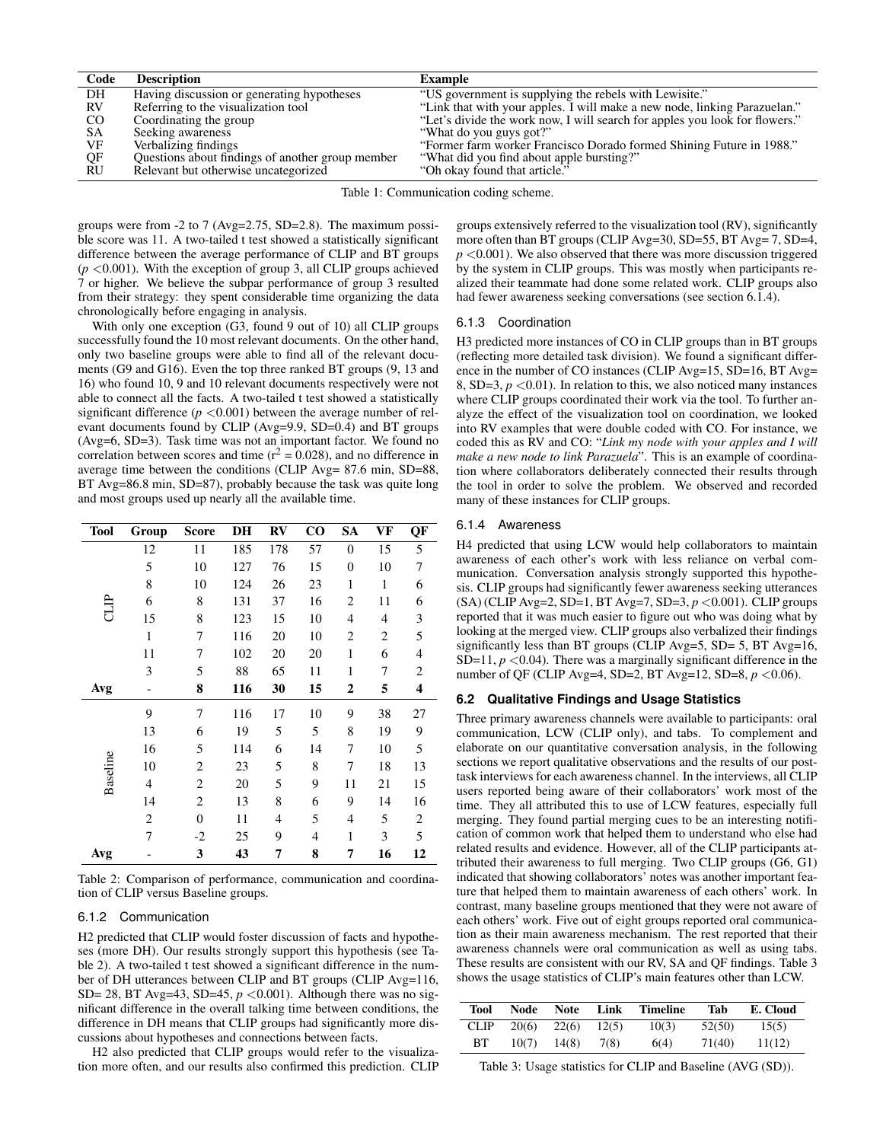<span id="page-6-0"></span>

| Code      | <b>Description</b>                               | <b>Example</b>                                                              |
|-----------|--------------------------------------------------|-----------------------------------------------------------------------------|
| DH        | Having discussion or generating hypotheses       | "US government is supplying the rebels with Lewisite."                      |
| RV        | Referring to the visualization tool              | "Link that with your apples. I will make a new node, linking Parazuelan."   |
| CO        | Coordinating the group                           | "Let's divide the work now, I will search for apples you look for flowers." |
| <b>SA</b> | Seeking awareness                                | "What do you guys got?"                                                     |
| VF        | Verbalizing findings                             | "Former farm worker Francisco Dorado formed Shining Future in 1988."        |
| QF        | Questions about findings of another group member | "What did you find about apple bursting?"                                   |
| <b>RU</b> | Relevant but otherwise uncategorized             | "Oh okay found that article."                                               |

Table 1: Communication coding scheme.

groups were from -2 to 7 (Avg=2.75, SD=2.8). The maximum possible score was 11. A two-tailed t test showed a statistically significant difference between the average performance of CLIP and BT groups  $(p < 0.001)$ . With the exception of group 3, all CLIP groups achieved 7 or higher. We believe the subpar performance of group 3 resulted from their strategy: they spent considerable time organizing the data chronologically before engaging in analysis.

With only one exception (G3, found 9 out of 10) all CLIP groups successfully found the 10 most relevant documents. On the other hand, only two baseline groups were able to find all of the relevant documents (G9 and G16). Even the top three ranked BT groups (9, 13 and 16) who found 10, 9 and 10 relevant documents respectively were not able to connect all the facts. A two-tailed t test showed a statistically significant difference  $(p < 0.001)$  between the average number of relevant documents found by CLIP (Avg=9.9, SD=0.4) and BT groups (Avg=6, SD=3). Task time was not an important factor. We found no correlation between scores and time ( $r^2 = 0.028$ ), and no difference in average time between the conditions (CLIP Avg= 87.6 min, SD=88, BT Avg=86.8 min, SD=87), probably because the task was quite long and most groups used up nearly all the available time.

<span id="page-6-1"></span>

| <b>Tool</b> | Group          | <b>Score</b>   | DH  | RV  | $\bf CO$ | <b>SA</b>      | VF           | QF             |
|-------------|----------------|----------------|-----|-----|----------|----------------|--------------|----------------|
|             | 12             | 11             | 185 | 178 | 57       | $\overline{0}$ | 15           | 5              |
|             | 5              | 10             | 127 | 76  | 15       | $\overline{0}$ | 10           | 7              |
|             | 8              | 10             | 124 | 26  | 23       | 1              | $\mathbf{1}$ | 6              |
| E           | 6              | 8              | 131 | 37  | 16       | 2              | 11           | 6              |
|             | 15             | 8              | 123 | 15  | 10       | 4              | 4            | 3              |
|             | $\mathbf{1}$   | 7              | 116 | 20  | 10       | 2              | 2            | 5              |
|             | 11             | 7              | 102 | 20  | 20       | 1              | 6            | $\overline{4}$ |
|             | 3              | 5              | 88  | 65  | 11       | 1              | 7            | 2              |
| Avg         |                | 8              | 116 | 30  | 15       | 2              | 5            | 4              |
|             | 9              | 7              | 116 | 17  | 10       | 9              | 38           | 27             |
|             | 13             | 6              | 19  | 5   | 5        | 8              | 19           | 9              |
|             | 16             | 5              | 114 | 6   | 14       | 7              | 10           | 5              |
| Baseline    | 10             | 2              | 23  | 5   | 8        | 7              | 18           | 13             |
|             | $\overline{4}$ | 2              | 20  | 5   | 9        | 11             | 21           | 15             |
|             | 14             | 2              | 13  | 8   | 6        | 9              | 14           | 16             |
|             | 2              | $\overline{0}$ | 11  | 4   | 5        | 4              | 5            | $\overline{c}$ |
|             | 7              | $-2$           | 25  | 9   | 4        | 1              | 3            | 5              |
| Avg         |                | 3              | 43  | 7   | 8        | 7              | 16           | 12             |

Table 2: Comparison of performance, communication and coordination of CLIP versus Baseline groups.

## 6.1.2 Communication

H2 predicted that CLIP would foster discussion of facts and hypotheses (more DH). Our results strongly support this hypothesis (see Table [2\)](#page-6-1). A two-tailed t test showed a significant difference in the number of DH utterances between CLIP and BT groups (CLIP Avg=116, SD= 28, BT Avg=43, SD=45,  $p \le 0.001$ ). Although there was no significant difference in the overall talking time between conditions, the difference in DH means that CLIP groups had significantly more discussions about hypotheses and connections between facts.

H2 also predicted that CLIP groups would refer to the visualization more often, and our results also confirmed this prediction. CLIP groups extensively referred to the visualization tool (RV), significantly more often than BT groups (CLIP Avg=30, SD=55, BT Avg= 7, SD=4,  $p$  <0.001). We also observed that there was more discussion triggered by the system in CLIP groups. This was mostly when participants realized their teammate had done some related work. CLIP groups also had fewer awareness seeking conversations (see section [6.1.4\)](#page-6-2).

#### 6.1.3 Coordination

H3 predicted more instances of CO in CLIP groups than in BT groups (reflecting more detailed task division). We found a significant difference in the number of CO instances (CLIP Avg=15, SD=16, BT Avg= 8,  $SD=3$ ,  $p < 0.01$ ). In relation to this, we also noticed many instances where CLIP groups coordinated their work via the tool. To further analyze the effect of the visualization tool on coordination, we looked into RV examples that were double coded with CO. For instance, we coded this as RV and CO: "*Link my node with your apples and I will make a new node to link Parazuela*". This is an example of coordination where collaborators deliberately connected their results through the tool in order to solve the problem. We observed and recorded many of these instances for CLIP groups.

### <span id="page-6-2"></span>6.1.4 Awareness

H4 predicted that using LCW would help collaborators to maintain awareness of each other's work with less reliance on verbal communication. Conversation analysis strongly supported this hypothesis. CLIP groups had significantly fewer awareness seeking utterances (SA) (CLIP Avg=2, SD=1, BT Avg=7, SD=3, *p* <0.001). CLIP groups reported that it was much easier to figure out who was doing what by looking at the merged view. CLIP groups also verbalized their findings significantly less than BT groups (CLIP Avg=5, SD= 5, BT Avg=16, SD=11,  $p$  <0.04). There was a marginally significant difference in the number of QF (CLIP Avg=4, SD=2, BT Avg=12, SD=8, *p* <0.06).

#### **6.2 Qualitative Findings and Usage Statistics**

Three primary awareness channels were available to participants: oral communication, LCW (CLIP only), and tabs. To complement and elaborate on our quantitative conversation analysis, in the following sections we report qualitative observations and the results of our posttask interviews for each awareness channel. In the interviews, all CLIP users reported being aware of their collaborators' work most of the time. They all attributed this to use of LCW features, especially full merging. They found partial merging cues to be an interesting notification of common work that helped them to understand who else had related results and evidence. However, all of the CLIP participants attributed their awareness to full merging. Two CLIP groups (G6, G1) indicated that showing collaborators' notes was another important feature that helped them to maintain awareness of each others' work. In contrast, many baseline groups mentioned that they were not aware of each others' work. Five out of eight groups reported oral communication as their main awareness mechanism. The rest reported that their awareness channels were oral communication as well as using tabs. These results are consistent with our RV, SA and QF findings. Table 3 shows the usage statistics of CLIP's main features other than LCW.

| Tool  | Node  | <b>Note</b> | Link             | <b>Timeline</b> | Tab    | E. Cloud |
|-------|-------|-------------|------------------|-----------------|--------|----------|
| CLIP. | 20(6) | 22(6)       | 12(5)            | 10(3)           | 52(50) | 15(5)    |
| BТ    | 10(7) | 14(8)       | 7 <sub>(8)</sub> | 6(4)            | 71(40) | 11(12)   |

Table 3: Usage statistics for CLIP and Baseline (AVG (SD)).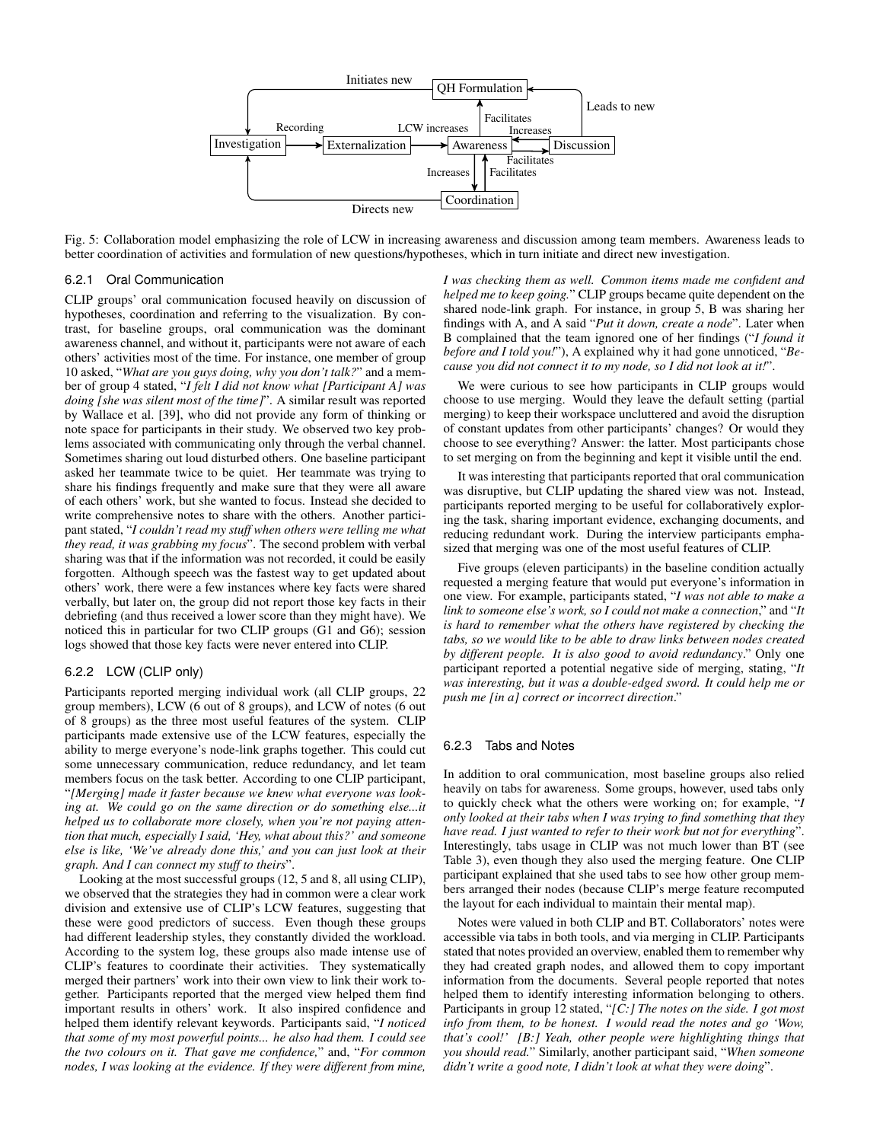<span id="page-7-0"></span>

Fig. 5: Collaboration model emphasizing the role of LCW in increasing awareness and discussion among team members. Awareness leads to better coordination of activities and formulation of new questions/hypotheses, which in turn initiate and direct new investigation.

#### 6.2.1 Oral Communication

CLIP groups' oral communication focused heavily on discussion of hypotheses, coordination and referring to the visualization. By contrast, for baseline groups, oral communication was the dominant awareness channel, and without it, participants were not aware of each others' activities most of the time. For instance, one member of group 10 asked, "*What are you guys doing, why you don't talk?*" and a member of group 4 stated, "*I felt I did not know what [Participant A] was doing [she was silent most of the time]*". A similar result was reported by Wallace et al. [\[39\]](#page-9-28), who did not provide any form of thinking or note space for participants in their study. We observed two key problems associated with communicating only through the verbal channel. Sometimes sharing out loud disturbed others. One baseline participant asked her teammate twice to be quiet. Her teammate was trying to share his findings frequently and make sure that they were all aware of each others' work, but she wanted to focus. Instead she decided to write comprehensive notes to share with the others. Another participant stated, "*I couldn't read my stuff when others were telling me what they read, it was grabbing my focus*". The second problem with verbal sharing was that if the information was not recorded, it could be easily forgotten. Although speech was the fastest way to get updated about others' work, there were a few instances where key facts were shared verbally, but later on, the group did not report those key facts in their debriefing (and thus received a lower score than they might have). We noticed this in particular for two CLIP groups (G1 and G6); session logs showed that those key facts were never entered into CLIP.

#### 6.2.2 LCW (CLIP only)

Participants reported merging individual work (all CLIP groups, 22 group members), LCW (6 out of 8 groups), and LCW of notes (6 out of 8 groups) as the three most useful features of the system. CLIP participants made extensive use of the LCW features, especially the ability to merge everyone's node-link graphs together. This could cut some unnecessary communication, reduce redundancy, and let team members focus on the task better. According to one CLIP participant, "*[Merging] made it faster because we knew what everyone was looking at. We could go on the same direction or do something else...it helped us to collaborate more closely, when you're not paying attention that much, especially I said, 'Hey, what about this?' and someone else is like, 'We've already done this,' and you can just look at their graph. And I can connect my stuff to theirs*".

Looking at the most successful groups (12, 5 and 8, all using CLIP), we observed that the strategies they had in common were a clear work division and extensive use of CLIP's LCW features, suggesting that these were good predictors of success. Even though these groups had different leadership styles, they constantly divided the workload. According to the system log, these groups also made intense use of CLIP's features to coordinate their activities. They systematically merged their partners' work into their own view to link their work together. Participants reported that the merged view helped them find important results in others' work. It also inspired confidence and helped them identify relevant keywords. Participants said, "*I noticed that some of my most powerful points... he also had them. I could see the two colours on it. That gave me confidence,*" and, "*For common nodes, I was looking at the evidence. If they were different from mine,*

*I was checking them as well. Common items made me confident and helped me to keep going.*" CLIP groups became quite dependent on the shared node-link graph. For instance, in group 5, B was sharing her findings with A, and A said "*Put it down, create a node*". Later when B complained that the team ignored one of her findings ("*I found it before and I told you!*"), A explained why it had gone unnoticed, "*Because you did not connect it to my node, so I did not look at it!*".

We were curious to see how participants in CLIP groups would choose to use merging. Would they leave the default setting (partial merging) to keep their workspace uncluttered and avoid the disruption of constant updates from other participants' changes? Or would they choose to see everything? Answer: the latter. Most participants chose to set merging on from the beginning and kept it visible until the end.

It was interesting that participants reported that oral communication was disruptive, but CLIP updating the shared view was not. Instead, participants reported merging to be useful for collaboratively exploring the task, sharing important evidence, exchanging documents, and reducing redundant work. During the interview participants emphasized that merging was one of the most useful features of CLIP.

Five groups (eleven participants) in the baseline condition actually requested a merging feature that would put everyone's information in one view. For example, participants stated, "*I was not able to make a link to someone else's work, so I could not make a connection*," and "*It is hard to remember what the others have registered by checking the tabs, so we would like to be able to draw links between nodes created by different people. It is also good to avoid redundancy*." Only one participant reported a potential negative side of merging, stating, "*It was interesting, but it was a double-edged sword. It could help me or push me [in a] correct or incorrect direction*."

## 6.2.3 Tabs and Notes

In addition to oral communication, most baseline groups also relied heavily on tabs for awareness. Some groups, however, used tabs only to quickly check what the others were working on; for example, "*I only looked at their tabs when I was trying to find something that they have read. I just wanted to refer to their work but not for everything*". Interestingly, tabs usage in CLIP was not much lower than BT (see Table 3), even though they also used the merging feature. One CLIP participant explained that she used tabs to see how other group members arranged their nodes (because CLIP's merge feature recomputed the layout for each individual to maintain their mental map).

Notes were valued in both CLIP and BT. Collaborators' notes were accessible via tabs in both tools, and via merging in CLIP. Participants stated that notes provided an overview, enabled them to remember why they had created graph nodes, and allowed them to copy important information from the documents. Several people reported that notes helped them to identify interesting information belonging to others. Participants in group 12 stated, "*[C:] The notes on the side. I got most info from them, to be honest. I would read the notes and go 'Wow, that's cool!' [B:] Yeah, other people were highlighting things that you should read.*" Similarly, another participant said, "*When someone didn't write a good note, I didn't look at what they were doing*".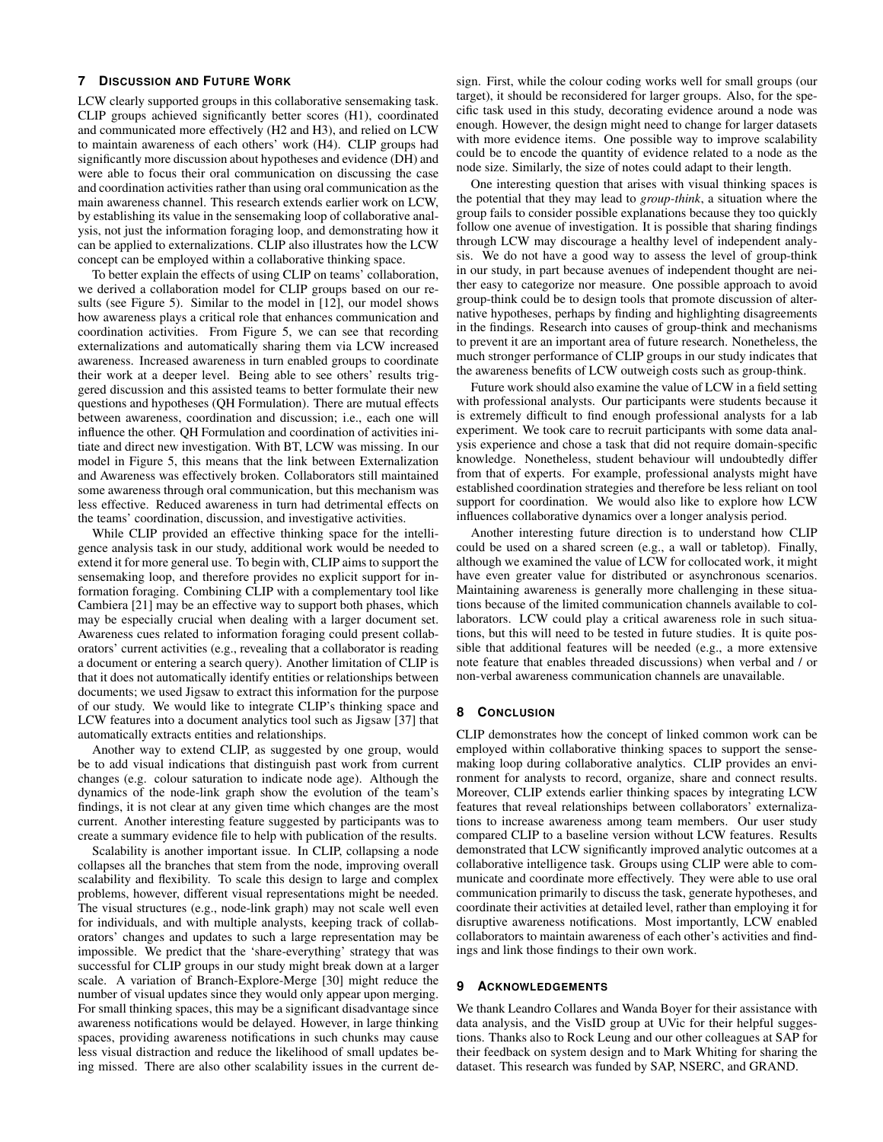## **7 DISCUSSION AND FUTURE WORK**

LCW clearly supported groups in this collaborative sensemaking task. CLIP groups achieved significantly better scores (H1), coordinated and communicated more effectively (H2 and H3), and relied on LCW to maintain awareness of each others' work (H4). CLIP groups had significantly more discussion about hypotheses and evidence (DH) and were able to focus their oral communication on discussing the case and coordination activities rather than using oral communication as the main awareness channel. This research extends earlier work on LCW, by establishing its value in the sensemaking loop of collaborative analysis, not just the information foraging loop, and demonstrating how it can be applied to externalizations. CLIP also illustrates how the LCW concept can be employed within a collaborative thinking space.

To better explain the effects of using CLIP on teams' collaboration, we derived a collaboration model for CLIP groups based on our results (see Figure [5\)](#page-7-0). Similar to the model in [\[12\]](#page-9-5), our model shows how awareness plays a critical role that enhances communication and coordination activities. From Figure [5,](#page-7-0) we can see that recording externalizations and automatically sharing them via LCW increased awareness. Increased awareness in turn enabled groups to coordinate their work at a deeper level. Being able to see others' results triggered discussion and this assisted teams to better formulate their new questions and hypotheses (QH Formulation). There are mutual effects between awareness, coordination and discussion; i.e., each one will influence the other. QH Formulation and coordination of activities initiate and direct new investigation. With BT, LCW was missing. In our model in Figure [5,](#page-7-0) this means that the link between Externalization and Awareness was effectively broken. Collaborators still maintained some awareness through oral communication, but this mechanism was less effective. Reduced awareness in turn had detrimental effects on the teams' coordination, discussion, and investigative activities.

While CLIP provided an effective thinking space for the intelligence analysis task in our study, additional work would be needed to extend it for more general use. To begin with, CLIP aims to support the sensemaking loop, and therefore provides no explicit support for information foraging. Combining CLIP with a complementary tool like Cambiera [\[21\]](#page-9-9) may be an effective way to support both phases, which may be especially crucial when dealing with a larger document set. Awareness cues related to information foraging could present collaborators' current activities (e.g., revealing that a collaborator is reading a document or entering a search query). Another limitation of CLIP is that it does not automatically identify entities or relationships between documents; we used Jigsaw to extract this information for the purpose of our study. We would like to integrate CLIP's thinking space and LCW features into a document analytics tool such as Jigsaw [\[37\]](#page-9-42) that automatically extracts entities and relationships.

Another way to extend CLIP, as suggested by one group, would be to add visual indications that distinguish past work from current changes (e.g. colour saturation to indicate node age). Although the dynamics of the node-link graph show the evolution of the team's findings, it is not clear at any given time which changes are the most current. Another interesting feature suggested by participants was to create a summary evidence file to help with publication of the results.

Scalability is another important issue. In CLIP, collapsing a node collapses all the branches that stem from the node, improving overall scalability and flexibility. To scale this design to large and complex problems, however, different visual representations might be needed. The visual structures (e.g., node-link graph) may not scale well even for individuals, and with multiple analysts, keeping track of collaborators' changes and updates to such a large representation may be impossible. We predict that the 'share-everything' strategy that was successful for CLIP groups in our study might break down at a larger scale. A variation of Branch-Explore-Merge [\[30\]](#page-9-30) might reduce the number of visual updates since they would only appear upon merging. For small thinking spaces, this may be a significant disadvantage since awareness notifications would be delayed. However, in large thinking spaces, providing awareness notifications in such chunks may cause less visual distraction and reduce the likelihood of small updates being missed. There are also other scalability issues in the current design. First, while the colour coding works well for small groups (our target), it should be reconsidered for larger groups. Also, for the specific task used in this study, decorating evidence around a node was enough. However, the design might need to change for larger datasets with more evidence items. One possible way to improve scalability could be to encode the quantity of evidence related to a node as the node size. Similarly, the size of notes could adapt to their length.

One interesting question that arises with visual thinking spaces is the potential that they may lead to *group-think*, a situation where the group fails to consider possible explanations because they too quickly follow one avenue of investigation. It is possible that sharing findings through LCW may discourage a healthy level of independent analysis. We do not have a good way to assess the level of group-think in our study, in part because avenues of independent thought are neither easy to categorize nor measure. One possible approach to avoid group-think could be to design tools that promote discussion of alternative hypotheses, perhaps by finding and highlighting disagreements in the findings. Research into causes of group-think and mechanisms to prevent it are an important area of future research. Nonetheless, the much stronger performance of CLIP groups in our study indicates that the awareness benefits of LCW outweigh costs such as group-think.

Future work should also examine the value of LCW in a field setting with professional analysts. Our participants were students because it is extremely difficult to find enough professional analysts for a lab experiment. We took care to recruit participants with some data analysis experience and chose a task that did not require domain-specific knowledge. Nonetheless, student behaviour will undoubtedly differ from that of experts. For example, professional analysts might have established coordination strategies and therefore be less reliant on tool support for coordination. We would also like to explore how LCW influences collaborative dynamics over a longer analysis period.

Another interesting future direction is to understand how CLIP could be used on a shared screen (e.g., a wall or tabletop). Finally, although we examined the value of LCW for collocated work, it might have even greater value for distributed or asynchronous scenarios. Maintaining awareness is generally more challenging in these situations because of the limited communication channels available to collaborators. LCW could play a critical awareness role in such situations, but this will need to be tested in future studies. It is quite possible that additional features will be needed (e.g., a more extensive note feature that enables threaded discussions) when verbal and / or non-verbal awareness communication channels are unavailable.

## **8 CONCLUSION**

CLIP demonstrates how the concept of linked common work can be employed within collaborative thinking spaces to support the sensemaking loop during collaborative analytics. CLIP provides an environment for analysts to record, organize, share and connect results. Moreover, CLIP extends earlier thinking spaces by integrating LCW features that reveal relationships between collaborators' externalizations to increase awareness among team members. Our user study compared CLIP to a baseline version without LCW features. Results demonstrated that LCW significantly improved analytic outcomes at a collaborative intelligence task. Groups using CLIP were able to communicate and coordinate more effectively. They were able to use oral communication primarily to discuss the task, generate hypotheses, and coordinate their activities at detailed level, rather than employing it for disruptive awareness notifications. Most importantly, LCW enabled collaborators to maintain awareness of each other's activities and findings and link those findings to their own work.

#### **9 ACKNOWLEDGEMENTS**

We thank Leandro Collares and Wanda Boyer for their assistance with data analysis, and the VisID group at UVic for their helpful suggestions. Thanks also to Rock Leung and our other colleagues at SAP for their feedback on system design and to Mark Whiting for sharing the dataset. This research was funded by SAP, NSERC, and GRAND.